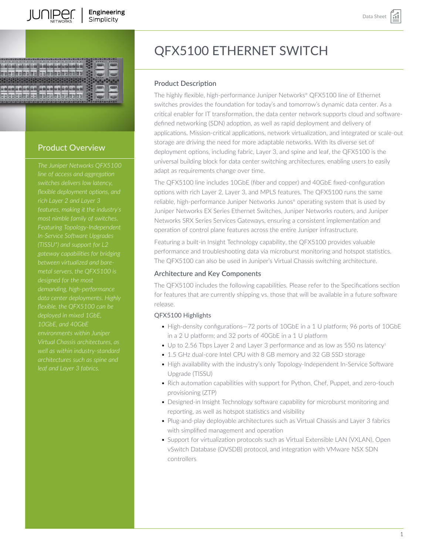

# Product Overview

*line of access and aggregation switches delivers low latency, Featuring Topology-Independent In-Service Software Upgrades (TISSU\*) and support for L2 gateway capabilities for bridging between virtualized and baremetal servers, the QFX5100 is data center deployments. Highly flexible, the QFX5100 can be deployed in mixed 1GbE, 10GbE, and 40GbE environments within Juniper Virtual Chassis architectures, as architectures such as spine and*

# QFX5100 ETHERNET SWITCH

# Product Description

The highly flexible, high-performance Juniper Networks® QFX5100 line of Ethernet switches provides the foundation for today's and tomorrow's dynamic data center. As a critical enabler for IT transformation, the data center network supports cloud and softwaredefined networking (SDN) adoption, as well as rapid deployment and delivery of applications. Mission-critical applications, network virtualization, and integrated or scale-out storage are driving the need for more adaptable networks. With its diverse set of deployment options, including fabric, Layer 3, and spine and leaf, the QFX5100 is the universal building block for data center switching architectures, enabling users to easily adapt as requirements change over time.

The QFX5100 line includes 10GbE (fiber and copper) and 40GbE fixed-configuration options with rich Layer 2, Layer 3, and MPLS features. The QFX5100 runs the same reliable, high-performance Juniper Networks Junos® operating system that is used by Juniper Networks EX Series Ethernet Switches, Juniper Networks routers, and Juniper Networks SRX Series Services Gateways, ensuring a consistent implementation and operation of control plane features across the entire Juniper infrastructure.

Featuring a built-in Insight Technology capability, the QFX5100 provides valuable performance and troubleshooting data via microburst monitoring and hotspot statistics. The QFX5100 can also be used in Juniper's Virtual Chassis switching architecture.

# Architecture and Key Components

The QFX5100 includes the following capabilities. Please refer to the Specifications section for features that are currently shipping vs. those that will be available in a future software release.

# QFX5100 Highlights

- High-density configurations—72 ports of 10GbE in a 1 U platform; 96 ports of 10GbE in a 2 U platform; and 32 ports of 40GbE in a 1 U platform
- Up to 2.56 Tbps Layer 2 and Layer 3 performance and as low as 550 ns latency<sup>1</sup>
- 1.5 GHz dual-core Intel CPU with 8 GB memory and 32 GB SSD storage
- High availability with the industry's only Topology-Independent In-Service Software Upgrade (TISSU)
- Rich automation capabilities with support for Python, Chef, Puppet, and zero-touch provisioning (ZTP)
- Designed-in Insight Technology software capability for microburst monitoring and reporting, as well as hotspot statistics and visibility
- Plug-and-play deployable architectures such as Virtual Chassis and Layer 3 fabrics with simplified management and operation
- Support for virtualization protocols such as Virtual Extensible LAN (VXLAN), Open vSwitch Database (OVSDB) protocol, and integration with VMware NSX SDN controllers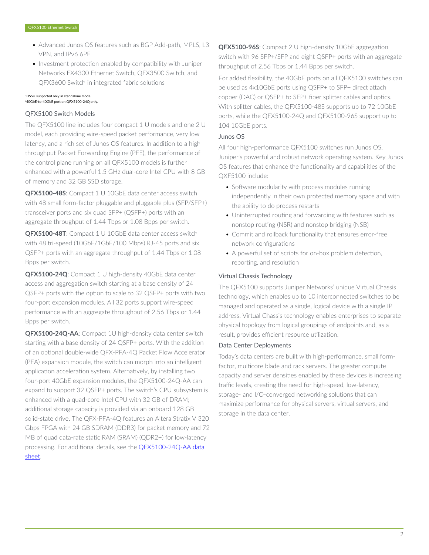- Advanced Junos OS features such as BGP Add-path, MPLS, L3 VPN, and IPv6 6PE
- Investment protection enabled by compatibility with Juniper Networks EX4300 Ethernet Switch, QFX3500 Switch, and QFX3600 Switch in integrated fabric solutions

#### TISSU supported only in standalone mode. <sup>1</sup>40GbE-to-40GbE port on QFX5100-24Q only.

# QFX5100 Switch Models

The QFX5100 line includes four compact 1 U models and one 2 U model, each providing wire-speed packet performance, very low latency, and a rich set of Junos OS features. In addition to a high throughput Packet Forwarding Engine (PFE), the performance of the control plane running on all QFX5100 models is further enhanced with a powerful 1.5 GHz dual-core Intel CPU with 8 GB of memory and 32 GB SSD storage.

**QFX5100-48S**: Compact 1 U 10GbE data center access switch with 48 small form-factor pluggable and pluggable plus (SFP/SFP+) transceiver ports and six quad SFP+ (QSFP+) ports with an aggregate throughput of 1.44 Tbps or 1.08 Bpps per switch.

**QFX5100-48T**: Compact 1 U 10GbE data center access switch with 48 tri-speed (10GbE/1GbE/100 Mbps) RJ-45 ports and six QSFP+ ports with an aggregate throughput of 1.44 Tbps or 1.08 Bpps per switch.

**QFX5100-24Q**: Compact 1 U high-density 40GbE data center access and aggregation switch starting at a base density of 24 QSFP+ ports with the option to scale to 32 QSFP+ ports with two four-port expansion modules. All 32 ports support wire-speed performance with an aggregate throughput of 2.56 Tbps or 1.44 Bpps per switch.

**QFX5100-24Q-AA**: Compact 1U high-density data center switch starting with a base density of 24 QSFP+ ports. With the addition of an optional double-wide QFX-PFA-4Q Packet Flow Accelerator (PFA) expansion module, the switch can morph into an intelligent application acceleration system. Alternatively, by installing two four-port 40GbE expansion modules, the QFX5100-24Q-AA can expand to support 32 QSFP+ ports. The switch's CPU subsystem is enhanced with a quad-core Intel CPU with 32 GB of DRAM; additional storage capacity is provided via an onboard 128 GB solid-state drive. The QFX-PFA-4Q features an Altera Stratix V 320 Gbps FPGA with 24 GB SDRAM (DDR3) for packet memory and 72 MB of quad data-rate static RAM (SRAM) (QDR2+) for low-latency processing. For additional details, see the **QFX5100-24Q-AA data** [sheet](https://www.juniper.net/assets/us/en/local/pdf/datasheets/1000532-en.pdf).

**QFX5100-96S**: Compact 2 U high-density 10GbE aggregation switch with 96 SFP+/SFP and eight QSFP+ ports with an aggregate throughput of 2.56 Tbps or 1.44 Bpps per switch.

For added flexibility, the 40GbE ports on all QFX5100 switches can be used as 4x10GbE ports using QSFP+ to SFP+ direct attach copper (DAC) or QSFP+ to SFP+ fiber splitter cables and optics. With splitter cables, the QFX5100-48S supports up to 72 10GbE ports, while the QFX5100-24Q and QFX5100-96S support up to 104 10GbE ports.

#### Junos OS

All four high-performance QFX5100 switches run Junos OS, Juniper's powerful and robust network operating system. Key Junos OS features that enhance the functionality and capabilities of the QXF5100 include:

- Software modularity with process modules running independently in their own protected memory space and with the ability to do process restarts
- Uninterrupted routing and forwarding with features such as nonstop routing (NSR) and nonstop bridging (NSB)
- Commit and rollback functionality that ensures error-free network configurations
- A powerful set of scripts for on-box problem detection, reporting, and resolution

# Virtual Chassis Technology

The QFX5100 supports Juniper Networks' unique Virtual Chassis technology, which enables up to 10 interconnected switches to be managed and operated as a single, logical device with a single IP address. Virtual Chassis technology enables enterprises to separate physical topology from logical groupings of endpoints and, as a result, provides efficient resource utilization.

### Data Center Deployments

Today's data centers are built with high-performance, small formfactor, multicore blade and rack servers. The greater compute capacity and server densities enabled by these devices is increasing traffic levels, creating the need for high-speed, low-latency, storage- and I/O-converged networking solutions that can maximize performance for physical servers, virtual servers, and storage in the data center.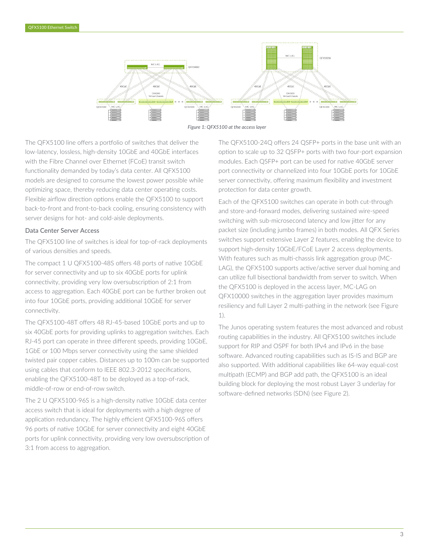



The QFX5100 line offers a portfolio of switches that deliver the low-latency, lossless, high-density 10GbE and 40GbE interfaces with the Fibre Channel over Ethernet (FCoE) transit switch functionality demanded by today's data center. All QFX5100 models are designed to consume the lowest power possible while optimizing space, thereby reducing data center operating costs. Flexible airflow direction options enable the QFX5100 to support back-to-front and front-to-back cooling, ensuring consistency with server designs for hot- and cold-aisle deployments.

#### Data Center Server Access

The QFX5100 line of switches is ideal for top-of-rack deployments of various densities and speeds.

The compact 1 U QFX5100-48S offers 48 ports of native 10GbE for server connectivity and up to six 40GbE ports for uplink connectivity, providing very low oversubscription of 2:1 from access to aggregation. Each 40GbE port can be further broken out into four 10GbE ports, providing additional 10GbE for server connectivity.

The QFX5100-48T offers 48 RJ-45-based 10GbE ports and up to six 40GbE ports for providing uplinks to aggregation switches. Each RJ-45 port can operate in three different speeds, providing 10GbE, 1GbE or 100 Mbps server connectivity using the same shielded twisted pair copper cables. Distances up to 100m can be supported using cables that conform to IEEE 802.3-2012 specifications, enabling the QFX5100-48T to be deployed as a top-of-rack, middle-of-row or end-of-row switch.

The 2 U QFX5100-96S is a high-density native 10GbE data center access switch that is ideal for deployments with a high degree of application redundancy. The highly efficient QFX5100-96S offers 96 ports of native 10GbE for server connectivity and eight 40GbE ports for uplink connectivity, providing very low oversubscription of 3:1 from access to aggregation.

The QFX5100-24Q offers 24 QSFP+ ports in the base unit with an option to scale up to 32 QSFP+ ports with two four-port expansion modules. Each QSFP+ port can be used for native 40GbE server port connectivity or channelized into four 10GbE ports for 10GbE server connectivity, offering maximum flexibility and investment protection for data center growth.

Each of the QFX5100 switches can operate in both cut-through and store-and-forward modes, delivering sustained wire-speed switching with sub-microsecond latency and low jitter for any packet size (including jumbo frames) in both modes. All QFX Series switches support extensive Layer 2 features, enabling the device to support high-density 10GbE/FCoE Layer 2 access deployments. With features such as multi-chassis link aggregation group (MC-LAG), the QFX5100 supports active/active server dual homing and can utilize full bisectional bandwidth from server to switch. When the QFX5100 is deployed in the access layer, MC-LAG on QFX10000 switches in the aggregation layer provides maximum resiliency and full Layer 2 multi-pathing in the network (see Figure 1).

The Junos operating system features the most advanced and robust routing capabilities in the industry. All QFX5100 switches include support for RIP and OSPF for both IPv4 and IPv6 in the base software. Advanced routing capabilities such as IS-IS and BGP are also supported. With additional capabilities like 64-way equal-cost multipath (ECMP) and BGP add path, the QFX5100 is an ideal building block for deploying the most robust Layer 3 underlay for software-defined networks (SDN) (see Figure 2).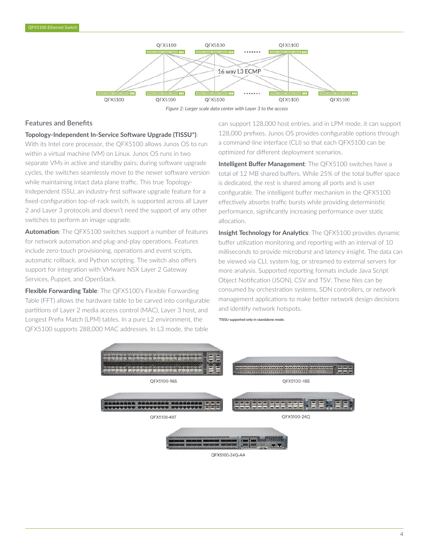



*Figure 2: Larger scale data center with Layer 3 to the access*

# Features and Benefits

#### **Topology-Independent In-Service Software Upgrade (TISSU\*)**:

With its Intel core processor, the QFX5100 allows Junos OS to run within a virtual machine (VM) on Linux. Junos OS runs in two separate VMs in active and standby pairs; during software upgrade cycles, the switches seamlessly move to the newer software version while maintaining intact data plane traffic. This true Topology-Independent ISSU, an industry-first software upgrade feature for a fixed-configuration top-of-rack switch, is supported across all Layer 2 and Layer 3 protocols and doesn't need the support of any other switches to perform an image upgrade.

**Automation**: The QFX5100 switches support a number of features for network automation and plug-and-play operations. Features include zero-touch provisioning, operations and event scripts, automatic rollback, and Python scripting. The switch also offers support for integration with VMware NSX Layer 2 Gateway Services, Puppet, and OpenStack.

**Flexible Forwarding Table**: The QFX5100's Flexible Forwarding Table (FFT) allows the hardware table to be carved into configurable partitions of Layer 2 media access control (MAC), Layer 3 host, and Longest Prefix Match (LPM) tables. In a pure L2 environment, the QFX5100 supports 288,000 MAC addresses. In L3 mode, the table

can support 128,000 host entries, and in LPM mode, it can support 128,000 prefixes. Junos OS provides configurable options through a command-line interface (CLI) so that each QFX5100 can be optimized for different deployment scenarios.

**Intelligent Buffer Management**: The QFX5100 switches have a total of 12 MB shared buffers. While 25% of the total buffer space is dedicated, the rest is shared among all ports and is user configurable. The intelligent buffer mechanism in the QFX5100 effectively absorbs traffic bursts while providing deterministic performance, significantly increasing performance over static allocation.

**Insight Technology for Analytics**: The QFX5100 provides dynamic buffer utilization monitoring and reporting with an interval of 10 milliseconds to provide microburst and latency insight. The data can be viewed via CLI, system log, or streamed to external servers for more analysis. Supported reporting formats include Java Script Object Notification (JSON), CSV and TSV. These files can be consumed by orchestration systems, SDN controllers, or network management applications to make better network design decisions and identify network hotspots.

\*TISSU supported only in standalone mode.



QFX5100-24Q-AA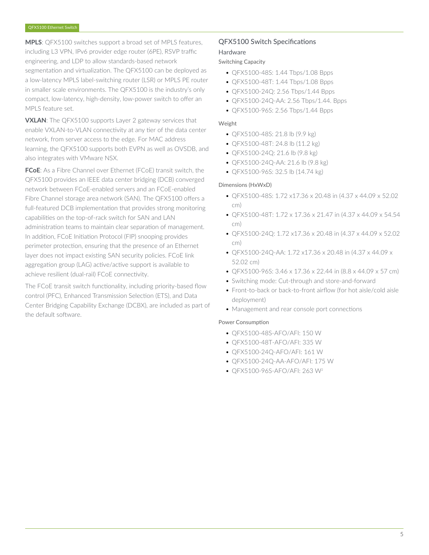**MPLS**: QFX5100 switches support a broad set of MPLS features, including L3 VPN, IPv6 provider edge router (6PE), RSVP traffic engineering, and LDP to allow standards-based network segmentation and virtualization. The QFX5100 can be deployed as a low-latency MPLS label-switching router (LSR) or MPLS PE router in smaller scale environments. The QFX5100 is the industry's only compact, low-latency, high-density, low-power switch to offer an MPLS feature set.

**VXLAN**: The QFX5100 supports Layer 2 gateway services that enable VXLAN-to-VLAN connectivity at any tier of the data center network, from server access to the edge. For MAC address learning, the QFX5100 supports both EVPN as well as OVSDB, and also integrates with VMware NSX.

**FCoE**: As a Fibre Channel over Ethernet (FCoE) transit switch, the QFX5100 provides an IEEE data center bridging (DCB) converged network between FCoE-enabled servers and an FCoE-enabled Fibre Channel storage area network (SAN). The QFX5100 offers a full-featured DCB implementation that provides strong monitoring capabilities on the top-of-rack switch for SAN and LAN administration teams to maintain clear separation of management. In addition, FCoE Initiation Protocol (FIP) snooping provides perimeter protection, ensuring that the presence of an Ethernet layer does not impact existing SAN security policies. FCoE link aggregation group (LAG) active/active support is available to achieve resilient (dual-rail) FCoE connectivity.

The FCoE transit switch functionality, including priority-based flow control (PFC), Enhanced Transmission Selection (ETS), and Data Center Bridging Capability Exchange (DCBX), are included as part of the default software.

# QFX5100 Switch Specifications

# Hardware

# Switching Capacity

- QFX5100-48S: 1.44 Tbps/1.08 Bpps
- QFX5100-48T: 1.44 Tbps/1.08 Bpps
- QFX5100-24Q: 2.56 Tbps/1.44 Bpps
- QFX5100-24Q-AA: 2.56 Tbps/1.44. Bpps
- QFX5100-96S: 2.56 Tbps/1.44 Bpps

### Weight

- QFX5100-48S: 21.8 lb (9.9 kg)
- QFX5100-48T: 24.8 lb (11.2 kg)
- QFX5100-24Q: 21.6 lb (9.8 kg)
- QFX5100-24Q-AA: 21.6 lb (9.8 kg)
- QFX5100-96S: 32.5 lb (14.74 kg)

#### Dimensions (HxWxD)

- QFX5100-48S: 1.72 x17.36 x 20.48 in (4.37 x 44.09 x 52.02 cm)
- QFX5100-48T: 1.72 x 17.36 x 21.47 in (4.37 x 44.09 x 54.54 cm)
- QFX5100-24Q: 1.72 x17.36 x 20.48 in (4.37 x 44.09 x 52.02 cm)
- QFX5100-24Q-AA: 1.72 x17.36 x 20.48 in (4.37 x 44.09 x 52.02 cm)
- QFX5100-96S: 3.46 x 17.36 x 22.44 in (8.8 x 44.09 x 57 cm)
- Switching mode: Cut-through and store-and-forward
- Front-to-back or back-to-front airflow (for hot aisle/cold aisle deployment)
- Management and rear console port connections

### Power Consumption

- QFX5100-48S-AFO/AFI: 150 W
- QFX5100-48T-AFO/AFI: 335 W
- QFX5100-24Q-AFO/AFI: 161 W
- QFX5100-24Q-AA-AFO/AFI: 175 W
- QFX5100-96S-AFO/AFI: 263 W<sup>2</sup>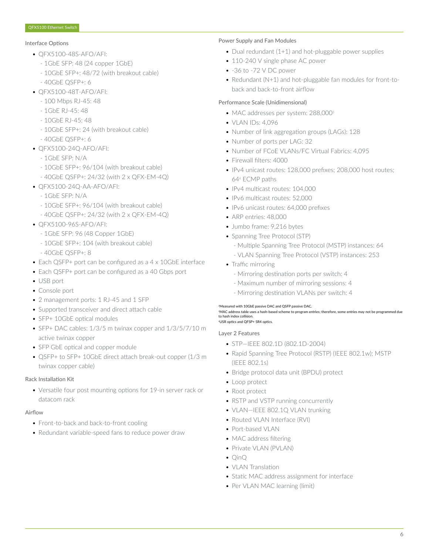#### Interface Options

- QFX5100-48S-AFO/AFI:
	- 1GbE SFP: 48 (24 copper 1GbE)
	- 10GbE SFP+: 48/72 (with breakout cable)
	- 40GbE QSFP+: 6
- QFX5100-48T-AFO/AFI:
	- 100 Mbps RJ-45: 48
	- 1GbE RJ-45: 48
	- 10GbE RJ-45: 48
	- 10GbE SFP+: 24 (with breakout cable)
	- 40GbE QSFP+: 6
- QFX5100-24Q-AFO/AFI:
	- 1GbE SFP: N/A
	- 10GbE SFP+: 96/104 (with breakout cable)
	- 40GbE QSFP+: 24/32 (with 2 x QFX-EM-4Q)
- QFX5100-24Q-AA-AFO/AFI:
	- 1GbE SFP: N/A
	- 10GbE SFP+: 96/104 (with breakout cable)
	- 40GbE QSFP+: 24/32 (with 2 x QFX-EM-4Q)
- QFX5100-96S-AFO/AFI:
	- 1GbE SFP: 96 (48 Copper 1GbE)
	- 10GbE SFP+: 104 (with breakout cable)
	- 40GbE QSFP+: 8
- Each QSFP+ port can be configured as a 4 x 10GbE interface
- Each QSFP+ port can be configured as a 40 Gbps port
- USB port
- Console port
- 2 management ports: 1 RJ-45 and 1 SFP
- Supported transceiver and direct attach cable
- SFP+ 10GbE optical modules
- SFP+ DAC cables: 1/3/5 m twinax copper and 1/3/5/7/10 m active twinax copper
- SFP GbE optical and copper module
- QSFP+ to SFP+ 10GbE direct attach break-out copper (1/3 m twinax copper cable)

### Rack Installation Kit

• Versatile four post mounting options for 19-in server rack or datacom rack

### Airflow

- Front-to-back and back-to-front cooling
- Redundant variable-speed fans to reduce power draw

#### Power Supply and Fan Modules

- Dual redundant (1+1) and hot-pluggable power supplies
- 110-240 V single phase AC power
- -36 to -72 V DC power
- Redundant (N+1) and hot-pluggable fan modules for front-toback and back-to-front airflow

### Performance Scale (Unidimensional)

- MAC addresses per system: 288,000<sup>3</sup>
- VLAN IDs: 4,096
- Number of link aggregation groups (LAGs): 128
- Number of ports per LAG: 32
- Number of FCoE VLANs/FC Virtual Fabrics: 4,095
- Firewall filters: 4000
- IPv4 unicast routes: 128,000 prefixes; 208,000 host routes; 64<sup>4</sup> ECMP paths
- IPv4 multicast routes: 104,000
- IPv6 multicast routes: 52,000
- IPv6 unicast routes: 64,000 prefixes
- ARP entries: 48,000
- Jumbo frame: 9,216 bytes
- Spanning Tree Protocol (STP)
	- Multiple Spanning Tree Protocol (MSTP) instances: 64
	- VLAN Spanning Tree Protocol (VSTP) instances: 253
- Traffic mirroring
	- Mirroring destination ports per switch: 4
	- Maximum number of mirroring sessions: 4
	- Mirroring destination VLANs per switch: 4

#### <sup>2</sup>Measured with 10GbE passive DAC and QSFP passive DAC.

<sup>3</sup>MAC address table uses a hash-based scheme to program entries; therefore, some entries may not be programmed due to hash index collision. <sup>4</sup>USR optics and QFSP+ SR4 optics.

#### Layer 2 Features

- STP—IEEE 802.1D (802.1D-2004)
- Rapid Spanning Tree Protocol (RSTP) (IEEE 802.1w); MSTP (IEEE 802.1s)
- Bridge protocol data unit (BPDU) protect
- Loop protect
- Root protect
- RSTP and VSTP running concurrently
- VLAN—IEEE 802.1Q VLAN trunking
- Routed VLAN Interface (RVI)
- Port-based VLAN
- MAC address filtering
- Private VLAN (PVLAN)
- QinQ
- VLAN Translation
- Static MAC address assignment for interface
- Per VLAN MAC learning (limit)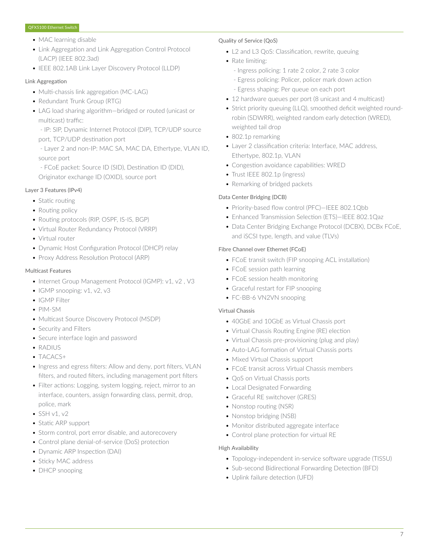- MAC learning disable
- Link Aggregation and Link Aggregation Control Protocol (LACP) (IEEE 802.3ad)
- IEEE 802.1AB Link Layer Discovery Protocol (LLDP)

#### Link Aggregation

- Multi-chassis link aggregation (MC-LAG)
- Redundant Trunk Group (RTG)
- LAG load sharing algorithm—bridged or routed (unicast or multicast) traffic:
	- IP: SIP, Dynamic Internet Protocol (DIP), TCP/UDP source port, TCP/UDP destination port
	- Layer 2 and non-IP: MAC SA, MAC DA, Ethertype, VLAN ID, source port
	- FCoE packet: Source ID (SID), Destination ID (DID), Originator exchange ID (OXID), source port

# Layer 3 Features (IPv4)

- Static routing
- Routing policy
- Routing protocols (RIP, OSPF, IS-IS, BGP)
- Virtual Router Redundancy Protocol (VRRP)
- Virtual router
- Dynamic Host Configuration Protocol (DHCP) relay
- Proxy Address Resolution Protocol (ARP)

### Multicast Features

- Internet Group Management Protocol (IGMP): v1, v2, V3
- IGMP snooping: v1, v2, v3
- IGMP Filter
- PIM-SM
- Multicast Source Discovery Protocol (MSDP)
- Security and Filters
- Secure interface login and password
- RADIUS
- TACACS+
- Ingress and egress filters: Allow and deny, port filters, VLAN filters, and routed filters, including management port filters
- Filter actions: Logging, system logging, reject, mirror to an interface, counters, assign forwarding class, permit, drop, police, mark
- $\bullet$  SSH v1, v2
- Static ARP support
- Storm control, port error disable, and autorecovery
- Control plane denial-of-service (DoS) protection
- Dynamic ARP Inspection (DAI)
- Sticky MAC address
- DHCP snooping

#### Quality of Service (QoS)

- L2 and L3 QoS: Classification, rewrite, queuing
- Rate limiting:
	- Ingress policing: 1 rate 2 color, 2 rate 3 color
	- Egress policing: Policer, policer mark down action
	- Egress shaping: Per queue on each port
- 12 hardware queues per port (8 unicast and 4 multicast)
- Strict priority queuing (LLQ), smoothed deficit weighted roundrobin (SDWRR), weighted random early detection (WRED), weighted tail drop
- 802.1p remarking
- Layer 2 classification criteria: Interface, MAC address, Ethertype, 802.1p, VLAN
- Congestion avoidance capabilities: WRED
- Trust IEEE 802.1p (ingress)
- Remarking of bridged packets

# Data Center Bridging (DCB)

- Priority-based flow control (PFC)—IEEE 802.1Qbb
- Enhanced Transmission Selection (ETS)—IEEE 802.1Qaz
- Data Center Bridging Exchange Protocol (DCBX), DCBx FCoE, and iSCSI type, length, and value (TLVs)

### Fibre Channel over Ethernet (FCoE)

- FCoE transit switch (FIP snooping ACL installation)
- FCoE session path learning
- FCoE session health monitoring
- Graceful restart for FIP snooping
- FC-BB-6 VN2VN snooping

### Virtual Chassis

- 40GbE and 10GbE as Virtual Chassis port
- Virtual Chassis Routing Engine (RE) election
- Virtual Chassis pre-provisioning (plug and play)
- Auto-LAG formation of Virtual Chassis ports
- Mixed Virtual Chassis support
- FCoE transit across Virtual Chassis members
- QoS on Virtual Chassis ports
- Local Designated Forwarding
- Graceful RE switchover (GRES)
- Nonstop routing (NSR)
- Nonstop bridging (NSB)
- Monitor distributed aggregate interface
- Control plane protection for virtual RE

### High Availability

- Topology-independent in-service software upgrade (TISSU)
- Sub-second Bidirectional Forwarding Detection (BFD)
- Uplink failure detection (UFD)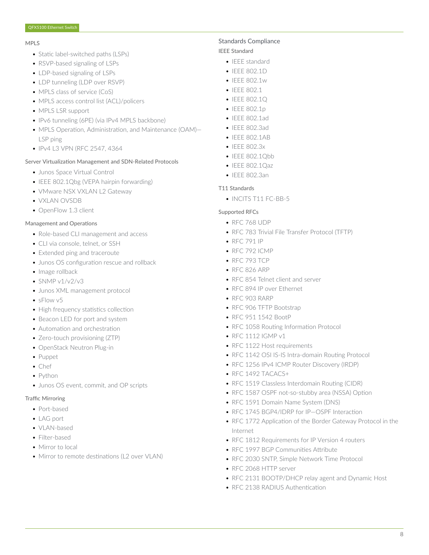#### MPLS

- Static label-switched paths (LSPs)
- RSVP-based signaling of LSPs
- LDP-based signaling of LSPs
- LDP tunneling (LDP over RSVP)
- MPLS class of service (CoS)
- MPLS access control list (ACL)/policers
- MPLS LSR support
- IPv6 tunneling (6PE) (via IPv4 MPLS backbone)
- MPLS Operation, Administration, and Maintenance (OAM)— LSP ping
- IPv4 L3 VPN (RFC 2547, 4364

#### Server Virtualization Management and SDN-Related Protocols

- Junos Space Virtual Control
- IEEE 802.1Qbg (VEPA hairpin forwarding)
- VMware NSX VXLAN L2 Gateway
- VXLAN OVSDB
- OpenFlow 1.3 client

#### Management and Operations

- Role-based CLI management and access
- CLI via console, telnet, or SSH
- Extended ping and traceroute
- Junos OS configuration rescue and rollback
- Image rollback
- $\cdot$  SNMP v1/v2/v3
- Junos XML management protocol
- sFlow v5
- High frequency statistics collection
- Beacon LED for port and system
- Automation and orchestration
- Zero-touch provisioning (ZTP)
- OpenStack Neutron Plug-in
- Puppet
- Chef
- Python
- Junos OS event, commit, and OP scripts

#### Traffic Mirroring

- Port-based
- LAG port
- VLAN-based
- Filter-based
- Mirror to local
- Mirror to remote destinations (L2 over VLAN)

### Standards Compliance

# IEEE Standard

- IEEE standard
- IEEE 802.1D
- IEEE 802.1w
- IEEE 802.1
- IEEE 802.1Q
- IEEE 802.1p
- IEEE 802.1ad
- IEEE 802.3ad
- IEEE 802.1AB
- IEEE 802.3x
- IEEE 802.1Obb
- IEEE 802.1Qaz
- IEEE 802.3an

#### T11 Standards

• INCITS T11 FC-BB-5

#### Supported RFCs

- RFC 768 UDP
- RFC 783 Trivial File Transfer Protocol (TFTP)
- RFC 791 IP
- RFC 792 ICMP
- RFC 793 TCP
- RFC 826 ARP
- RFC 854 Telnet client and server
- RFC 894 IP over Ethernet
- RFC 903 RARP
- RFC 906 TFTP Bootstrap
- RFC 951 1542 BootP
- RFC 1058 Routing Information Protocol
- RFC 1112 IGMP v1
- RFC 1122 Host requirements
- RFC 1142 OSI IS-IS Intra-domain Routing Protocol
- RFC 1256 IPv4 ICMP Router Discovery (IRDP)
- RFC 1492 TACACS+
- RFC 1519 Classless Interdomain Routing (CIDR)
- RFC 1587 OSPF not-so-stubby area (NSSA) Option
- RFC 1591 Domain Name System (DNS)
- RFC 1745 BGP4/IDRP for IP—OSPF Interaction
- RFC 1772 Application of the Border Gateway Protocol in the Internet
- RFC 1812 Requirements for IP Version 4 routers
- RFC 1997 BGP Communities Attribute
- RFC 2030 SNTP, Simple Network Time Protocol
- RFC 2068 HTTP server
- RFC 2131 BOOTP/DHCP relay agent and Dynamic Host
- RFC 2138 RADIUS Authentication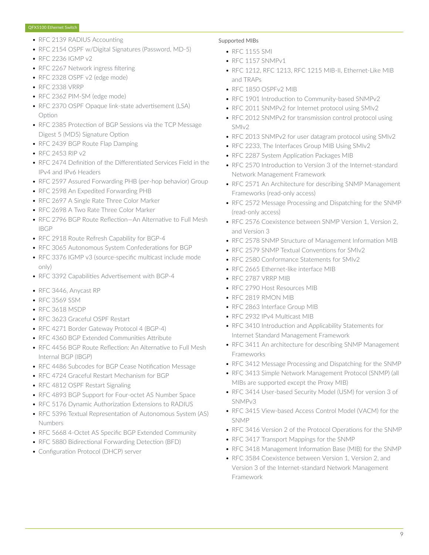- RFC 2139 RADIUS Accounting
- RFC 2154 OSPF w/Digital Signatures (Password, MD-5)
- RFC 2236 IGMP v2
- RFC 2267 Network ingress filtering
- RFC 2328 OSPF v2 (edge mode)
- RFC 2338 VRRP
- RFC 2362 PIM-SM (edge mode)
- RFC 2370 OSPF Opaque link-state advertisement (LSA) Option
- RFC 2385 Protection of BGP Sessions via the TCP Message Digest 5 (MD5) Signature Option
- RFC 2439 BGP Route Flap Damping
- RFC 2453 RIP v2
- RFC 2474 Definition of the Differentiated Services Field in the IPv4 and IPv6 Headers
- RFC 2597 Assured Forwarding PHB (per-hop behavior) Group
- RFC 2598 An Expedited Forwarding PHB
- RFC 2697 A Single Rate Three Color Marker
- RFC 2698 A Two Rate Three Color Marker
- RFC 2796 BGP Route Reflection—An Alternative to Full Mesh IBGP
- RFC 2918 Route Refresh Capability for BGP-4
- RFC 3065 Autonomous System Confederations for BGP
- RFC 3376 IGMP v3 (source-specific multicast include mode only)
- RFC 3392 Capabilities Advertisement with BGP-4
- RFC 3446, Anycast RP
- RFC 3569 SSM
- RFC 3618 MSDP
- RFC 3623 Graceful OSPF Restart
- RFC 4271 Border Gateway Protocol 4 (BGP-4)
- RFC 4360 BGP Extended Communities Attribute
- RFC 4456 BGP Route Reflection: An Alternative to Full Mesh Internal BGP (IBGP)
- RFC 4486 Subcodes for BGP Cease Notification Message
- RFC 4724 Graceful Restart Mechanism for BGP
- RFC 4812 OSPF Restart Signaling
- RFC 4893 BGP Support for Four-octet AS Number Space
- RFC 5176 Dynamic Authorization Extensions to RADIUS
- RFC 5396 Textual Representation of Autonomous System (AS) Numbers
- RFC 5668 4-Octet AS Specific BGP Extended Community
- RFC 5880 Bidirectional Forwarding Detection (BFD)
- Configuration Protocol (DHCP) server

#### Supported MIBs

- RFC 1155 SMI
- RFC 1157 SNMPv1
- RFC 1212, RFC 1213, RFC 1215 MIB-II, Ethernet-Like MIB and TRAPs
- RFC 1850 OSPFv2 MIB
- RFC 1901 Introduction to Community-based SNMPv2
- RFC 2011 SNMPv2 for Internet protocol using SMIv2
- RFC 2012 SNMPv2 for transmission control protocol using SMIv2
- RFC 2013 SNMPv2 for user datagram protocol using SMIv2
- RFC 2233, The Interfaces Group MIB Using SMIv2
- RFC 2287 System Application Packages MIB
- RFC 2570 Introduction to Version 3 of the Internet-standard Network Management Framework
- RFC 2571 An Architecture for describing SNMP Management Frameworks (read-only access)
- RFC 2572 Message Processing and Dispatching for the SNMP (read-only access)
- RFC 2576 Coexistence between SNMP Version 1, Version 2, and Version 3
- RFC 2578 SNMP Structure of Management Information MIB
- RFC 2579 SNMP Textual Conventions for SMIv2
- RFC 2580 Conformance Statements for SMIv2
- RFC 2665 Ethernet-like interface MIB
- RFC 2787 VRRP MIB
- RFC 2790 Host Resources MIB
- RFC 2819 RMON MIB
- RFC 2863 Interface Group MIB
- RFC 2932 IPv4 Multicast MIB
- RFC 3410 Introduction and Applicability Statements for Internet Standard Management Framework
- RFC 3411 An architecture for describing SNMP Management Frameworks
- RFC 3412 Message Processing and Dispatching for the SNMP
- RFC 3413 Simple Network Management Protocol (SNMP) (all MIBs are supported except the Proxy MIB)
- RFC 3414 User-based Security Model (USM) for version 3 of SNMPv3
- RFC 3415 View-based Access Control Model (VACM) for the SNMP
- RFC 3416 Version 2 of the Protocol Operations for the SNMP
- RFC 3417 Transport Mappings for the SNMP
- RFC 3418 Management Information Base (MIB) for the SNMP
- RFC 3584 Coexistence between Version 1, Version 2, and Version 3 of the Internet-standard Network Management Framework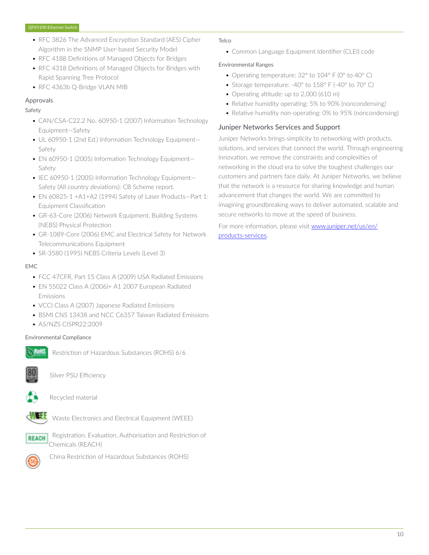- RFC 3826 The Advanced Encryption Standard (AES) Cipher Algorithm in the SNMP User-based Security Model
- RFC 4188 Definitions of Managed Objects for Bridges
- RFC 4318 Definitions of Managed Objects for Bridges with Rapid Spanning Tree Protocol
- RFC 4363b Q-Bridge VLAN MIB

# Approvals

#### Safety

- CAN/CSA-C22.2 No. 60950-1 (2007) Information Technology Equipment—Safety
- UL 60950-1 (2nd Ed.) Information Technology Equipment— Safety
- EN 60950-1 (2005) Information Technology Equipment— Safety
- IEC 60950-1 (2005) Information Technology Equipment— Safety (All country deviations): CB Scheme report.
- EN 60825-1 +A1+A2 (1994) Safety of Laser Products—Part 1: Equipment Classification
- GR-63-Core (2006) Network Equipment, Building Systems (NEBS) Physical Protection
- GR-1089-Core (2006) EMC and Electrical Safety for Network Telecommunications Equipment
- SR-3580 (1995) NEBS Criteria Levels (Level 3)

#### EMC

- FCC 47CFR, Part 15 Class A (2009) USA Radiated Emissions
- EN 55022 Class A (2006)+ A1 2007 European Radiated Emissions
- VCCI Class A (2007) Japanese Radiated Emissions
- BSMI CNS 13438 and NCC C6357 Taiwan Radiated Emissions
- AS/NZS CISPR22:2009

### Environmental Compliance



Restriction of Hazardous Substances (ROHS) 6/6



Silver PSU Efficiency



Recycled material



Waste Electronics and Electrical Equipment (WEEE)





China Restriction of Hazardous Substances (ROHS)

#### **Telco**

• Common Language Equipment Identifier (CLEI) code

### Environmental Ranges

- Operating temperature: 32° to 104° F (0° to 40° C)
- Storage temperature: -40° to 158° F (-40° to 70° C)
- Operating altitude: up to 2,000 (610 m)
- Relative humidity operating: 5% to 90% (noncondensing)
- Relative humidity non-operating: 0% to 95% (noncondensing)

# Juniper Networks Services and Support

Juniper Networks brings simplicity to networking with products, solutions, and services that connect the world. Through engineering innovation, we remove the constraints and complexities of networking in the cloud era to solve the toughest challenges our customers and partners face daily. At Juniper Networks, we believe that the network is a resource for sharing knowledge and human advancement that changes the world. We are committed to imagining groundbreaking ways to deliver automated, scalable and secure networks to move at the speed of business.

For more information, please visit [www.juniper.net/us/en/](https://www.juniper.net/us/en/products-services/) [products-services.](https://www.juniper.net/us/en/products-services/)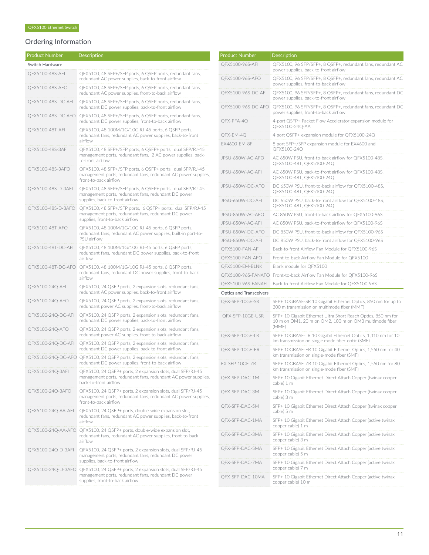# Ordering Information

| <b>Product Number</b> | Description                                                                                                                                           |
|-----------------------|-------------------------------------------------------------------------------------------------------------------------------------------------------|
| Switch Hardware       |                                                                                                                                                       |
| OFX5100-48S-AFI       | QFX5100, 48 SFP+/SFP ports, 6 QSFP ports, redundant fans,<br>redundant AC power supplies, back-to-front airflow                                       |
| QFX5100-48S-AFO       | QFX5100, 48 SFP+/SFP ports, 6 QSFP ports, redundant fans,<br>redundant AC power supplies, front-to-back airflow                                       |
| QFX5100-48S-DC-AFI    | QFX5100, 48 SFP+/SFP ports, 6 QSFP ports, redundant fans,<br>redundant DC power supplies, back-to-front airflow                                       |
| QFX5100-48S-DC-AFO    | QFX5100, 48 SFP+/SFP ports, 6 QSFP ports, redundant fans,<br>redundant DC power supplies, front-to-back airflow                                       |
| QFX5100-48T-AFI       | QFX5100, 48 100M/1G/10G RJ-45 ports, 6 QSFP ports,<br>redundant fans, redundant AC power supplies, back-to-front<br>airflow                           |
| QFX5100-48S-3AFI      | QFX5100, 48 SFP+/SFP ports, 6 QSFP+ ports, dual SFP/RJ-45<br>management ports, redundant fans, 2 AC power supplies, back-<br>to-front airflow         |
| QFX5100-48S-3AFO      | QFX5100, 48 SFP+/SFP ports, 6 QSFP+ ports, dual SFP/RJ-45<br>management ports, redundant fans, redundant AC power supplies,<br>front-to-back airflow  |
| QFX5100-48S-D-3AFI    | QFX5100, 48 SFP+/SFP ports, 6 QSFP+ ports, dual SFP/RJ-45<br>management ports, redundant fans, redundant DC power<br>supplies, back-to-front airflow  |
| QFX5100-48S-D-3AFO    | QFX5100, 48 SFP+/SFP ports, 6 QSFP+ ports, dual SFP/RJ-45<br>management ports, redundant fans, redundant DC power<br>supplies, front-to-back airflow  |
| QFX5100-48T-AFO       | QFX5100, 48 100M/1G/10G RJ-45 ports, 6 QSFP ports,<br>redundant fans, redundant AC power supplies, built-in port-to-<br>PSU airflow                   |
| QFX5100-48T-DC-AFI    | QFX5100, 48 100M/1G/10G RJ-45 ports, 6 QSFP ports,<br>redundant fans, redundant DC power supplies, back-to-front<br>airflow                           |
| QFX5100-48T-DC-AFO    | QFX5100, 48 100M/1G/10G RJ-45 ports, 6 QSFP ports,<br>redundant fans, redundant DC power supplies, front-to-back<br>airflow                           |
| QFX5100-24Q-AFI       | QFX5100, 24 QSFP ports, 2 expansion slots, redundant fans,<br>redundant AC power supplies, back-to-front airflow                                      |
| QFX5100-24Q-AFO       | QFX5100, 24 QSFP ports, 2 expansion slots, redundant fans,<br>redundant power AC supplies. front-to-back airflow                                      |
| QFX5100-24Q-DC-AFI    | QFX5100, 24 QSFP ports, 2 expansion slots, redundant fans,<br>redundant DC power supplies, back-to-front airflow                                      |
| QFX5100-24Q-AFO       | QFX5100, 24 QSFP ports, 2 expansion slots, redundant fans,<br>redundant power AC supplies. front-to-back airflow                                      |
| QFX5100-24Q-DC-AFI    | QFX5100, 24 QSFP ports, 2 expansion slots, redundant fans,<br>redundant DC power supplies, back-to-front airflow                                      |
| QFX5100-24Q-DC-AFO    | QFX5100, 24 QSFP ports, 2 expansion slots, redundant fans,<br>redundant DC power supplies, front-to-back airflow                                      |
| QFX5100-24Q-3AFI      | QFX5100, 24 QSFP+ ports, 2 expansion slots, dual SFP/RJ-45<br>management ports, redundant fans, redundant AC power supplies,<br>back-to-front airflow |
| QFX5100-24Q-3AFO      | QFX5100, 24 QSFP+ ports, 2 expansion slots, dual SFP/RJ-45<br>management ports, redundant fans, redundant AC power supplies,<br>front-to-back airflow |
| QFX5100-24Q-AA-AFI    | QFX5100, 24 QSFP+ ports, double-wide expansion slot,<br>redundant fans, redundant AC power supplies, back-to-front<br>airflow                         |
| QFX5100-24Q-AA-AFO    | QFX5100, 24 QSFP+ ports, double-wide expansion slot,<br>redundant fans, redundant AC power supplies, front-to-back<br>airflow                         |
| QFX5100-24Q-D-3AFI    | QFX5100, 24 QSFP+ ports, 2 expansion slots, dual SFP/RJ-45<br>management ports, redundant fans, redundant DC power<br>supplies, back-to-front airflow |
| QFX5100-24Q-D-3AFO    | QFX5100, 24 QSFP+ ports, 2 expansion slots, dual SFP/RJ-45<br>management ports, redundant fans, redundant DC power<br>supplies, front-to-back airflow |
|                       |                                                                                                                                                       |

| <b>Product Number</b>          | Description                                                                                                                      |
|--------------------------------|----------------------------------------------------------------------------------------------------------------------------------|
| QFX5100-96S-AFI                | QFX5100, 96 SFP/SFP+, 8 QSFP+, redundant fans, redundant AC<br>power supplies, back-to-front airflow                             |
| QFX5100-96S-AFO                | QFX5100, 96 SFP/SFP+, 8 QSFP+, redundant fans, redundant AC<br>power supplies, front-to-back airflow                             |
| QFX5100-96S-DC-AFI             | QFX5100, 96 SFP/SFP+, 8 QSFP+, redundant fans, redundant DC<br>power supplies, back-to-front airflow                             |
| QFX5100-96S-DC-AFO             | QFX5100, 96 SFP/SFP+, 8 QSFP+, redundant fans, redundant DC<br>power supplies, front-to-back airflow                             |
| QFX-PFA-4Q                     | 4-port QSFP+ Packet Flow Accelerator expansion module for<br>QFX5100-24Q-AA                                                      |
| QFX-EM-4Q                      | 4 port QSFP+ expansion module for QFX5100-24Q                                                                                    |
| EX4600-EM-8F                   | 8 port SFP+/SFP expansion module for EX4600 and<br>QFX5100-24Q                                                                   |
| JPSU-650W-AC-AFO               | AC 650W PSU, front-to-back airflow for QFX5100-48S,<br>QFX5100-48T, QFX5100-24Q                                                  |
| JPSU-650W-AC-AFI               | AC 650W PSU, back-to-front airflow for QFX5100-48S,<br>QFX5100-48T, QFX5100-24Q                                                  |
| JPSU-650W-DC-AFO               | DC 650W PSU, front-to-back airflow for QFX5100-48S,<br>QFX5100-48T, QFX5100-24Q                                                  |
| JPSU-650W-DC-AFI               | DC 650W PSU, back-to-front airflow for QFX5100-48S,<br>QFX5100-48T, QFX5100-24Q                                                  |
| JPSU-850W-AC-AFO               | AC 850W PSU, front-to-back airflow for QFX5100-96S                                                                               |
| JPSU-850W-AC-AFI               | AC 850W PSU, back-to-front airflow for QFX5100-96S                                                                               |
| JPSU-850W-DC-AFO               | DC 850W PSU, front-to-back airflow for QFX5100-96S                                                                               |
| JPSU-850W-DC-AFI               | DC 850W PSU, back-to-front airflow for QFX5100-96S                                                                               |
| QFX5100-FAN-AFI                | Back-to-front Airflow Fan Module for QFX5100-96S                                                                                 |
| QFX5100-FAN-AFO                | Front-to-back Airflow Fan Module for QFX5100                                                                                     |
| QFX5100-EM-BLNK                | Blank module for QFX5100                                                                                                         |
| QFX5100-96S-FANAFO             | Front-to-back Airflow Fan Module for QFX5100-96S                                                                                 |
| QFX5100-96S-FANAFI             | Back-to-front Airflow Fan Module for QFX5100-96S                                                                                 |
| <b>Optics and Transceivers</b> |                                                                                                                                  |
| QFX-SFP-10GE-SR                | SFP+ 10GBASE-SR 10 Gigabit Ethernet Optics, 850 nm for up to<br>300 m transmission on multimode fiber (MMF)                      |
| QFX-SFP-10GE-USR               | SFP+ 10 Gigabit Ethernet Ultra Short Reach Optics, 850 nm for<br>10 m on OM1, 20 m on OM2, 100 m on OM3 multimode fiber<br>(MMF) |
| QFX-SFP-10GE-LR                | SFP+ 10GBASE-LR 10 Gigabit Ethernet Optics, 1,310 nm for 10<br>km transmission on single mode fiber-optic (SMF)                  |
| QFX-SFP-10GE-ER                | SFP+ 10GBASE-ER 10 Gigabit Ethernet Optics, 1,550 nm for 40<br>km transmission on single-mode fiber (SMF)                        |
| EX-SFP-10GE-ZR                 | SFP+ 10GBASE-ZR 10 Gigabit Ethernet Optics, 1,550 nm for 80<br>km transmission on single-mode fiber (SMF)                        |
| QFX-SFP-DAC-1M                 | SFP+ 10 Gigabit Ethernet Direct Attach Copper (twinax copper<br>cable) 1 m                                                       |
| QFX-SFP-DAC-3M                 | SFP+ 10 Gigabit Ethernet Direct Attach Copper (twinax copper<br>cable) 3 m                                                       |
| OFX-SFP-DAC-5M                 | SFP+ 10 Gigabit Ethernet Direct Attach Copper (twinax copper<br>cable) 5 m                                                       |
| OFX-SFP-DAC-1MA                | SFP+ 10 Gigabit Ethernet Direct Attach Copper (active twinax<br>copper cable) 1 m                                                |
| QFX-SFP-DAC-3MA                | SFP+ 10 Gigabit Ethernet Direct Attach Copper (active twinax<br>copper cable) 3 m                                                |
| QFX-SFP-DAC-5MA                | SFP+ 10 Gigabit Ethernet Direct Attach Copper (active twinax<br>copper cable) 5 m                                                |
| QFX-SFP-DAC-7MA                | SFP+ 10 Gigabit Ethernet Direct Attach Copper (active twinax<br>copper cable) 7 m                                                |
| QFX-SFP-DAC-10MA               | SFP+ 10 Gigabit Ethernet Direct Attach Copper (active twinax<br>copper cable) 10 m                                               |
|                                |                                                                                                                                  |